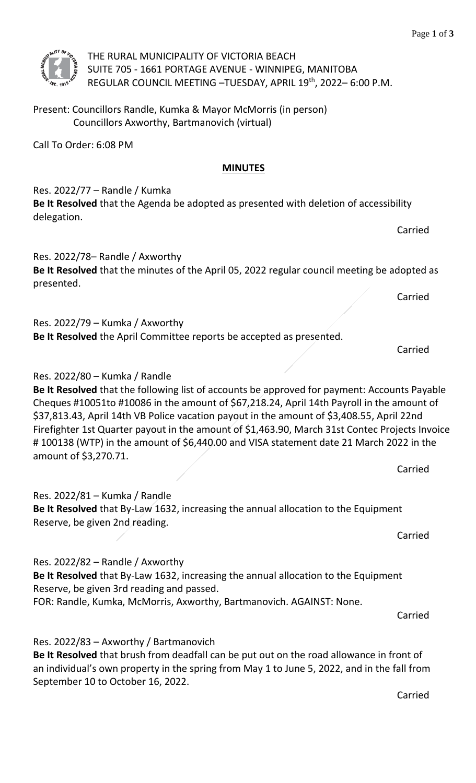

THE RURAL MUNICIPALITY OF VICTORIA BEACH SUITE 705 - 1661 PORTAGE AVENUE - WINNIPEG, MANITOBA REGULAR COUNCIL MEETING –TUESDAY, APRIL 19th, 2022– 6:00 P.M.

Present: Councillors Randle, Kumka & Mayor McMorris (in person) Councillors Axworthy, Bartmanovich (virtual)

Call To Order: 6:08 PM

# **MINUTES**

Res. 2022/77 – Randle / Kumka **Be It Resolved** that the Agenda be adopted as presented with deletion of accessibility delegation.

Carried

Res. 2022/78– Randle / Axworthy **Be It Resolved** that the minutes of the April 05, 2022 regular council meeting be adopted as presented.

Carried

Carried

Res.  $2022/79$  – Kumka / Axworthy **Be It Resolved** the April Committee reports be accepted as presented.

Res. 2022/80 – Kumka / Randle

**Be It Resolved** that the following list of accounts be approved for payment: Accounts Payable Cheques #10051to #10086 in the amount of \$67,218.24, April 14th Payroll in the amount of \$37,813.43, April 14th VB Police vacation payout in the amount of \$3,408.55, April 22nd Firefighter 1st Quarter payout in the amount of \$1,463.90, March 31st Contec Projects Invoice # 100138 (WTP) in the amount of \$6,440.00 and VISA statement date 21 March 2022 in the amount of \$3,270.71.

Carried

Res. 2022/81 – Kumka / Randle **Be It Resolved** that By-Law 1632, increasing the annual allocation to the Equipment Reserve, be given 2nd reading.

Carried

Res. 2022/82 – Randle / Axworthy **Be It Resolved** that By-Law 1632, increasing the annual allocation to the Equipment Reserve, be given 3rd reading and passed. FOR: Randle, Kumka, McMorris, Axworthy, Bartmanovich. AGAINST: None.

Carried

Res. 2022/83 – Axworthy / Bartmanovich

**Be It Resolved** that brush from deadfall can be put out on the road allowance in front of an individual's own property in the spring from May 1 to June 5, 2022, and in the fall from September 10 to October 16, 2022.

Carried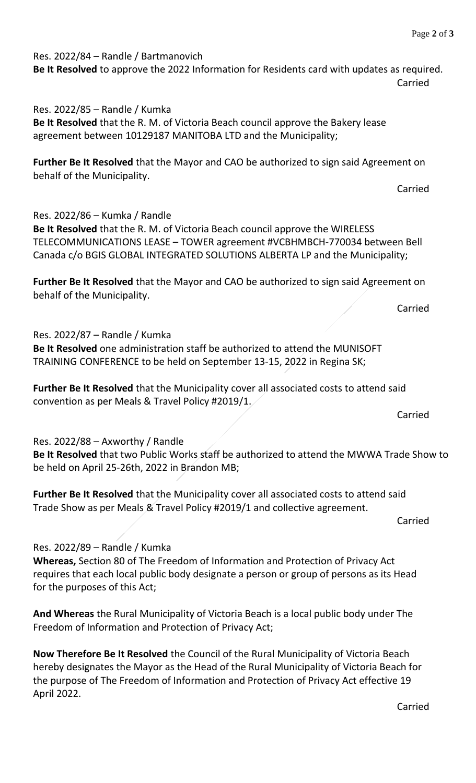Res. 2022/84 – Randle / Bartmanovich **Be It Resolved** to approve the 2022 Information for Residents card with updates as required. Carried

Res. 2022/85 – Randle / Kumka **Be It Resolved** that the R. M. of Victoria Beach council approve the Bakery lease agreement between 10129187 MANITOBA LTD and the Municipality;

**Further Be It Resolved** that the Mayor and CAO be authorized to sign said Agreement on behalf of the Municipality.

Carried

Res. 2022/86 – Kumka / Randle

**Be It Resolved** that the R. M. of Victoria Beach council approve the WIRELESS TELECOMMUNICATIONS LEASE – TOWER agreement #VCBHMBCH-770034 between Bell Canada c/o BGIS GLOBAL INTEGRATED SOLUTIONS ALBERTA LP and the Municipality;

**Further Be It Resolved** that the Mayor and CAO be authorized to sign said Agreement on behalf of the Municipality.

Carried

Res. 2022/87 – Randle / Kumka

**Be It Resolved** one administration staff be authorized to attend the MUNISOFT TRAINING CONFERENCE to be held on September 13-15, 2022 in Regina SK;

**Further Be It Resolved** that the Municipality cover all associated costs to attend said convention as per Meals & Travel Policy #2019/1.

Carried

## Res. 2022/88 – Axworthy / Randle

**Be It Resolved** that two Public Works staff be authorized to attend the MWWA Trade Show to be held on April 25-26th, 2022 in Brandon MB;

**Further Be It Resolved** that the Municipality cover all associated costs to attend said Trade Show as per Meals & Travel Policy #2019/1 and collective agreement.

Carried

Res. 2022/89 – Randle / Kumka

**Whereas,** Section 80 of The Freedom of Information and Protection of Privacy Act requires that each local public body designate a person or group of persons as its Head for the purposes of this Act;

**And Whereas** the Rural Municipality of Victoria Beach is a local public body under The Freedom of Information and Protection of Privacy Act;

**Now Therefore Be It Resolved** the Council of the Rural Municipality of Victoria Beach hereby designates the Mayor as the Head of the Rural Municipality of Victoria Beach for the purpose of The Freedom of Information and Protection of Privacy Act effective 19 April 2022.

Carried